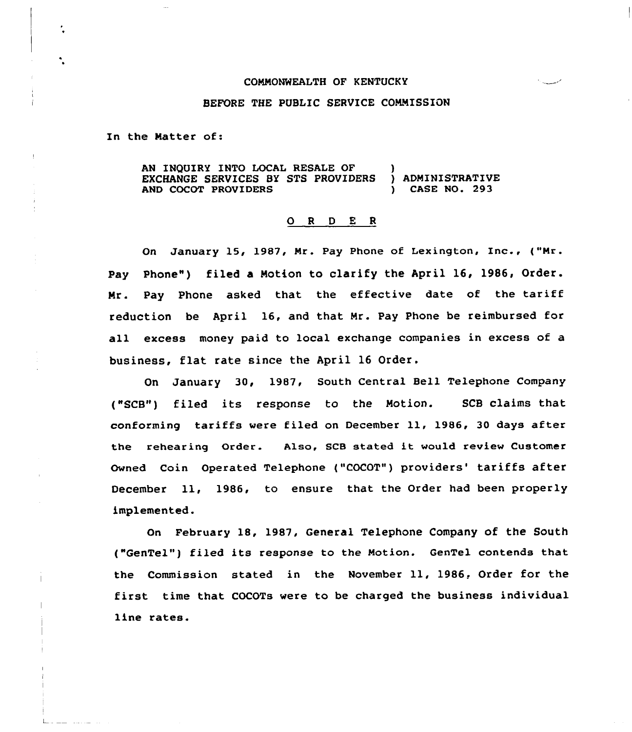## COMMONWEALTH OF KENTUCKY

## BEFORE THE PUBLIC SERVICE COMMISSION

In the Natter of:

AN INQUIRY INTO LOCAL RESALE OF )<br>EXCHANGE SERVICES BY STS PROVIDERS ) ADMINISTRATIVE EXCHANGE SERVICES BY STS PROVIDERS ) ADMINISTRATIVEND COCOT PROVIDERS (293) AND COCOT PROVIDERS

## 0 <sup>R</sup> <sup>D</sup> <sup>E</sup> <sup>R</sup>

On January 15, 1987, Mr. Pay Phone of Lexington, Inc., ("Mr. Pay Phone") filed a Motion to clarify the April 16, 1986, Order. Nr. Pay Phone asked that the effective date of the tariff reduction be April 16, and that Mr. Pay Phone be reimbursed for all excess money paid to local exchange companies in excess of a business, flat rate since the April 16 Order.

On January 30, 1987, South Central Bell Telephone Company {"SCB") filed its response to the Motion. SCB claims that conforming tariffs were filed on December ll, 1986, <sup>30</sup> days after the rehearing Order. Also, SCB stated it would review Customer Owned Coin Operated Telephone ("COCOT") providers' tariffs after December ll, 1986, to ensure that the Order had been properly implemented.

On February 18, 1987, General Telephone Company of the South ("GenTel") filed its response to the Motion. GenTel contends that the Commission stated in the November 11, 1986, Order for the first time that COCOTs were to be charged the business individual line rates.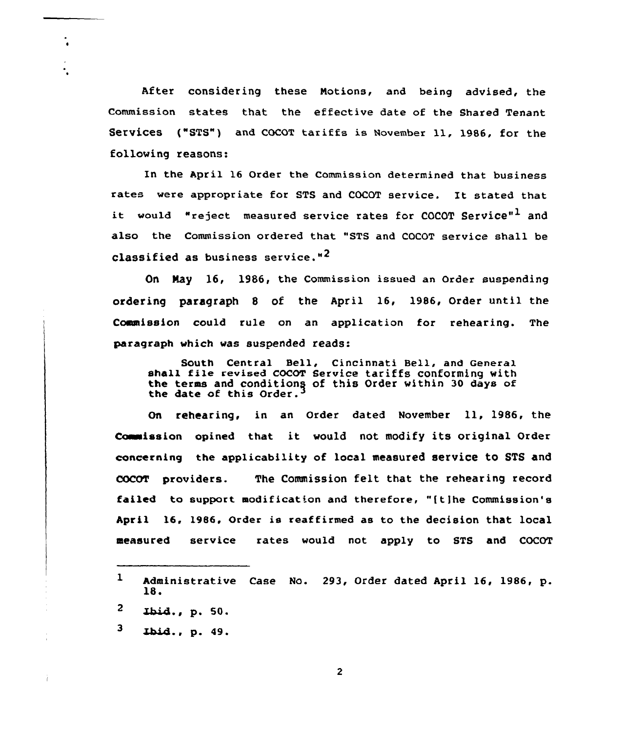After considering these Notions, and being advised, the Commission states that the effective date of the Shared Tenant services ("sTs") and cocQT tariffs ie November 11, 1986, for the following reasons:

In the April 16 Order the Commission determined that business rates were appropriate for STS and COCOT service. It stated that it would "reject measured service rates for COCOT Service"<sup>1</sup> and also the Commission ordered that "STS and COCOT service shall be classified as business service." $<sup>2</sup>$ </sup>

On May 16, 1986, the Commission issued an Order suspending ordering paragraph 8 of the April 16, 1986, Order until the Commission could rule on an application for rehearing. The paragraph which was suspended reads:

South Central Bell, Cincinnati Bell, and General shall file revised COCOT Service tariffs conforming with the terms and conditions of this Order within 30 days of the date of this Order.

On rehearing, in an Order dated November ll, 1986, the Commuission opined that it would not modify its original Order concerning the applicability of local measured service to STS and COCOT providers. The Commission felt that the rehearing record failed to support modification and therefore, "ft]he Commission's April 16. 1986. Order is reaffirmed as to the decision that local measured service rates would not apply to STS and COCOT

3 Ibid., p. 49.

ì

 $\mathbf{2}$ 

 $\mathbf{1}$ Administrative Case No. 293, Order dated April l6, 1986, p. 18

 $\overline{2}$ Ibid., p. 50.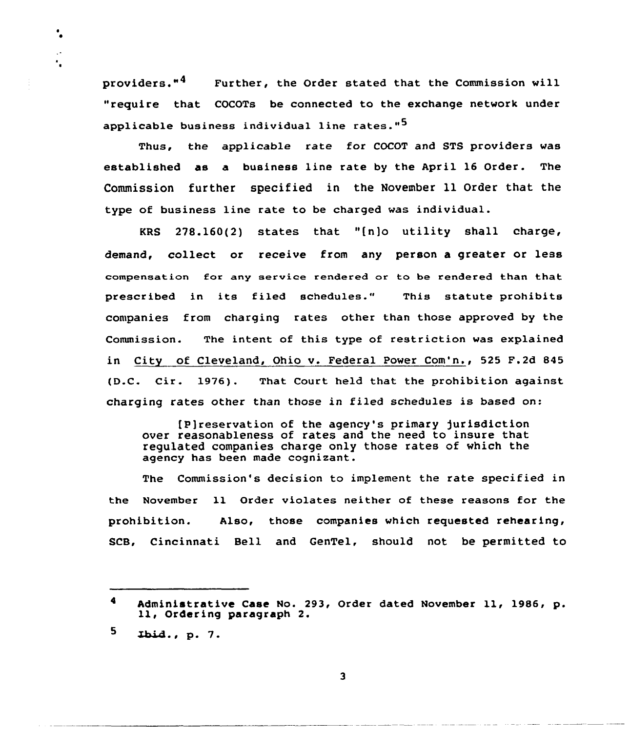providers."<sup>4</sup> Further, the Order stated that the Commission will "require that COCOTs be connected to the exchange network under applicable business individual line rates."<sup>5</sup>

Thus, the applicable rate for COCOT and STS providers was established as a business line rate by the April 16 Order. The Commission further specified in the November ll Order that the type of business line rate to be charged was individual.

KRS 278.160(2) states that "fn)o utility shall charge, demand, collect or receive from any person a greater or less compensation for any service rendered or to be rendered than that prescribed in its filed schedules." This statute prohibits companies from charging rates other than those approved by the Commission. The intent of this type of restriction was explained in City of Cleveland, Ohio v. Federal Power Com'n., 525 F.2d 845 (D.C. Cir. 1976). That Court held that the prohibition against charging rates other than those in filed schedules is based on:

[P]reservation of the agency's primary jurisdiction over reasonableness of rates and the need to insure that regulated companies charge only those rates of which the agency has been made cognizant.

The Commission's decision to implement the rate specified in the November ll Order violates neither of these reasons for the prohibition. Also, those companies which requested rehearing, SCB, Cincinnati Bell and GenTel, should not be permitted to

٠.  $\ddotsc$ 

 $\overline{\mathbf{3}}$ 

<sup>4</sup> Administrative Case No. 293, Order dated November 11, 1986, p.<br>11, Ordering paragraph 2.

<sup>5.</sup>  $Jbid., p. 7.$